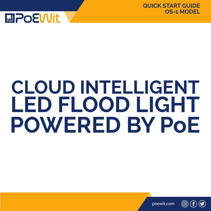

# **CLOUD INTELLIGENT LED FLOOD LIGHT POWERED BY PoE**

poewit.com

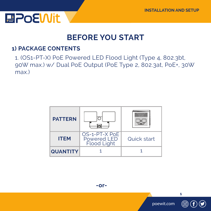

#### **BEFORE YOU START**

#### **1) PACKAGE CONTENTS**

1. (OS1-PT-X) PoE Powered LED Flood Light (Type 4, 802.3bt, 90W max.) w/ Dual PoE Output (PoE Type 2, 802.3at, PoE+, 30W max.)

| <b>PATTERN</b>  |                                                           | <b>CALL AT A</b> |
|-----------------|-----------------------------------------------------------|------------------|
| <b>ITEM</b>     | OS-1-PT-X PoE<br><b>Powered LED</b><br><b>Flood Light</b> | Quick start      |
| <b>QUANTITY</b> |                                                           |                  |

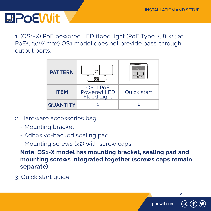### **MPOEWIt**

1. (OS1-X) PoE powered LED flood light (PoE Type 2, 802.3at, PoE+, 30W max) OS1 model does not provide pass-through output ports.

| <b>PATTERN</b>  |                                                      | <b>Floored Lines</b> |
|-----------------|------------------------------------------------------|----------------------|
| <b>ITEM</b>     | OS-1 PoE<br><b>Powered LED</b><br><b>Flood Light</b> | Quick start          |
| <b>QUANTITY</b> |                                                      |                      |

- 2. Hardware accessories bag
	- Mounting bracket
	- Adhesive-backed sealing pad
	- Mounting screws (x2) with screw caps

**Note: OS1-X model has mounting bracket, sealing pad and mounting screws integrated together (screws caps remain separate)**

3. Quick start guide

poewit.com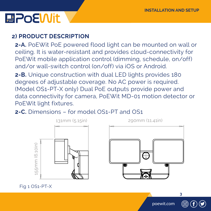### **MPoEWit**

#### **2) PRODUCT DESCRIPTION**

**2-A.** PoEWit PoE powered flood light can be mounted on wall or ceiling. It is water-resistant and provides cloud-connectivity for PoEWit mobile application control (dimming, schedule, on/off) and/or wall-switch control (on/off) via iOS or Android.

**2-B.** Unique construction with dual LED lights provides 180 degrees of adjustable coverage. No AC power is required. (Model OS1-PT-X only) Dual PoE outputs provide power and data connectivity for camera, PoEWit MD-01 motion detector or PoEWit light fixtures.

#### **2-C.** Dimensions – for model OS1-PT and OS1

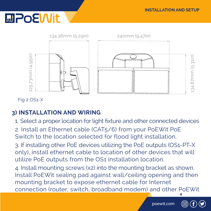

Fig 2 OS1-X

#### **3) INSTALLATION AND WIRING**

- 1. Select a proper location for light fixture and other connected devices
- 2. Install an Ethernet cable (CAT5/6) from your PoEWit PoE Switch to the location selected for flood light installation.

3. If installing other PoE devices utilizing the PoE outputs (OS1-PT-X only), install ethernet cable to location of other devices that will utilize PoE outputs from the OS1 installation location.

**4** 4. Install mounting screws (x2) into the mounting bracket as shown. Install PoEWit sealing pad against wall/ceiling opening and then mounting bracket to expose ethernet cable for Internet connection (router, switch, broadband modem) and other PoEWit

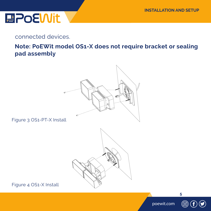connected devices.

 **Note: PoEWit model OS1-X does not require bracket or sealing pad assembly**



Figure 3 OS1-PT-X Install

Figure 4 OS1-X Install

poewit.com

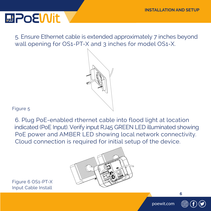5. Ensure Ethernet cable is extended approximately 7 inches beyond wall opening for OS1-PT-X and 3 inches for model OS1-X.



Figure 5

6. Plug PoE-enabled rthernet cable into flood light at location indicated (PoE Input). Verify input RJ45 GREEN LED illuminated showing PoE power and AMBER LED showing local network connectivity. Cloud connection is required for initial setup of the device.



Figure 6 OS1-PT-X Input Cable Install

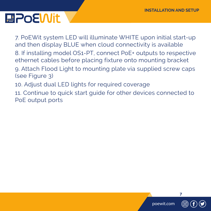7. PoEWit system LED will illuminate WHITE upon initial start-up and then display BLUE when cloud connectivity is available 8. If installing model OS1-PT, connect PoE+ outputs to respective ethernet cables before placing fixture onto mounting bracket 9. Attach Flood Light to mounting plate via supplied screw caps (see Figure 3) 10. Adjust dual LED lights for required coverage

11. Continue to quick start guide for other devices connected to PoE output ports